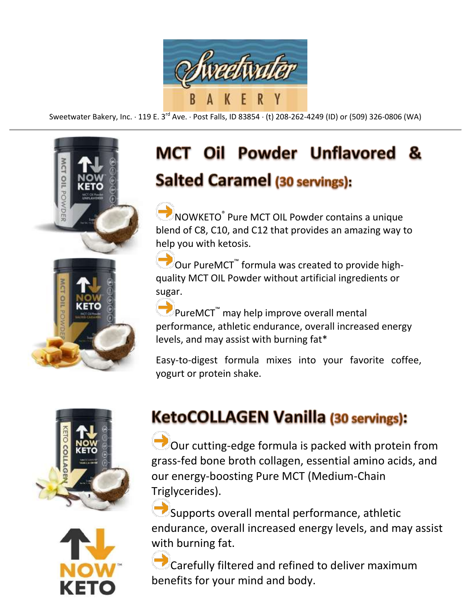

Sweetwater Bakery, Inc.  $\cdot$  119 E. 3<sup>rd</sup> Ave.  $\cdot$  Post Falls, ID 83854  $\cdot$  (t) 208-262-4249 (ID) or (509) 326-0806 (WA)



## **MCT Oil Powder Unflavored** 84 Salted Caramel (30 servings):

NOWKETO® Pure MCT OIL Powder contains a unique blend of C8, C10, and C12 that provides an amazing way to help you with ketosis.

Our PureMCT<sup>™</sup> formula was created to provide highquality MCT OIL Powder without artificial ingredients or sugar.

**■**PureMCT<sup>™</sup> may help improve overall mental performance, athletic endurance, overall increased energy levels, and may assist with burning fat\*

Easy-to-digest formula mixes into your favorite coffee, yogurt or protein shake.





## KetoCOLLAGEN Vanilla (30 servings):

Our cutting-edge formula is packed with protein from grass-fed bone broth collagen, essential amino acids, and our energy-boosting Pure MCT (Medium-Chain Triglycerides).

Supports overall mental performance, athletic endurance, overall increased energy levels, and may assist with burning fat.

Carefully filtered and refined to deliver maximum benefits for your mind and body.